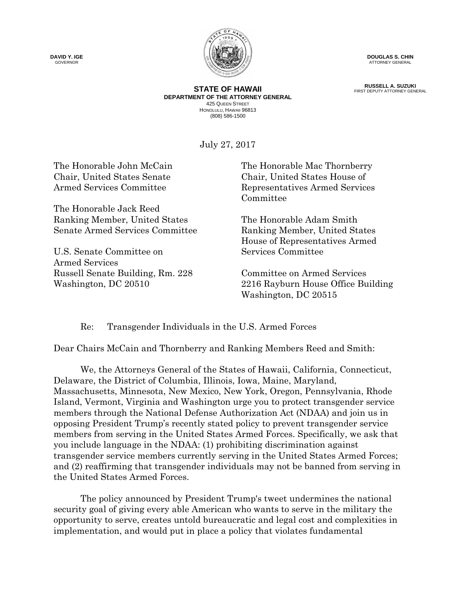**DAVID Y. IGE GOVERNOR** 



**DOUGLAS S. CHIN** ATTORNEY GENERAL

**RUSSELL A. SUZUKI** FIRST DEPUTY ATTORNEY GENERAL

**STATE OF HAWAII DEPARTMENT OF THE ATTORNEY GENERAL** 425 QUEEN STREET HONOLULU, HAWAII 96813 (808) 586-1500

July 27, 2017

The Honorable Jack Reed Ranking Member, United States The Honorable Adam Smith Senate Armed Services Committee Ranking Member, United States

U.S. Senate Committee on Services Committee Armed Services Russell Senate Building, Rm. 228 Committee on Armed Services

The Honorable John McCain The Honorable Mac Thornberry Chair, United States Senate Chair, United States House of Armed Services Committee Representatives Armed Services Committee

House of Representatives Armed

Washington, DC 20510 2216 Rayburn House Office Building Washington, DC 20515

Re: Transgender Individuals in the U.S. Armed Forces

Dear Chairs McCain and Thornberry and Ranking Members Reed and Smith:

We, the Attorneys General of the States of Hawaii, California, Connecticut, Delaware, the District of Columbia, Illinois, Iowa, Maine, Maryland, Massachusetts, Minnesota, New Mexico, New York, Oregon, Pennsylvania, Rhode Island, Vermont, Virginia and Washington urge you to protect transgender service members through the National Defense Authorization Act (NDAA) and join us in opposing President Trump's recently stated policy to prevent transgender service members from serving in the United States Armed Forces. Specifically, we ask that you include language in the NDAA: (1) prohibiting discrimination against transgender service members currently serving in the United States Armed Forces; and (2) reaffirming that transgender individuals may not be banned from serving in the United States Armed Forces.

The policy announced by President Trump's tweet undermines the national security goal of giving every able American who wants to serve in the military the opportunity to serve, creates untold bureaucratic and legal cost and complexities in implementation, and would put in place a policy that violates fundamental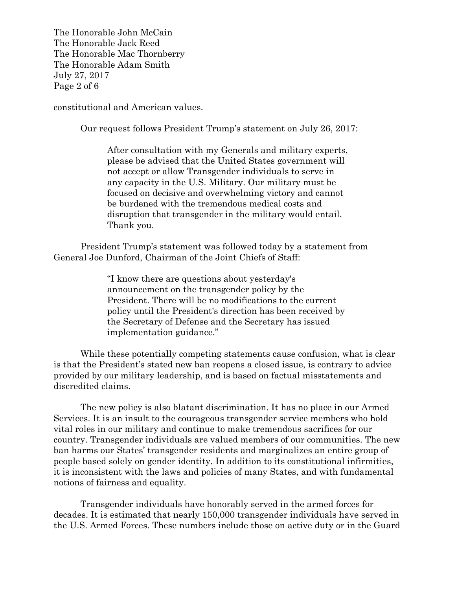The Honorable John McCain The Honorable Jack Reed The Honorable Mac Thornberry The Honorable Adam Smith July 27, 2017 Page 2 of 6

constitutional and American values.

Our request follows President Trump's statement on July 26, 2017:

After consultation with my Generals and military experts, please be advised that the United States government will not accept or allow Transgender individuals to serve in any capacity in the U.S. Military. Our military must be focused on decisive and overwhelming victory and cannot be burdened with the tremendous medical costs and disruption that transgender in the military would entail. Thank you.

President Trump's statement was followed today by a statement from General Joe Dunford, Chairman of the Joint Chiefs of Staff:

> "I know there are questions about yesterday's announcement on the transgender policy by the President. There will be no modifications to the current policy until the President's direction has been received by the Secretary of Defense and the Secretary has issued implementation guidance."

While these potentially competing statements cause confusion, what is clear is that the President's stated new ban reopens a closed issue, is contrary to advice provided by our military leadership, and is based on factual misstatements and discredited claims.

The new policy is also blatant discrimination. It has no place in our Armed Services. It is an insult to the courageous transgender service members who hold vital roles in our military and continue to make tremendous sacrifices for our country. Transgender individuals are valued members of our communities. The new ban harms our States' transgender residents and marginalizes an entire group of people based solely on gender identity. In addition to its constitutional infirmities, it is inconsistent with the laws and policies of many States, and with fundamental notions of fairness and equality.

Transgender individuals have honorably served in the armed forces for decades. It is estimated that nearly 150,000 transgender individuals have served in the U.S. Armed Forces. These numbers include those on active duty or in the Guard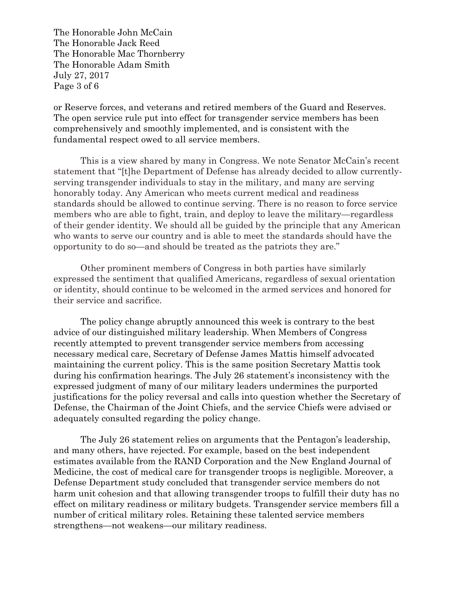The Honorable John McCain The Honorable Jack Reed The Honorable Mac Thornberry The Honorable Adam Smith July 27, 2017 Page 3 of 6

or Reserve forces, and veterans and retired members of the Guard and Reserves. The open service rule put into effect for transgender service members has been comprehensively and smoothly implemented, and is consistent with the fundamental respect owed to all service members.

This is a view shared by many in Congress. We note Senator McCain's recent statement that "[t]he Department of Defense has already decided to allow currentlyserving transgender individuals to stay in the military, and many are serving honorably today. Any American who meets current medical and readiness standards should be allowed to continue serving. There is no reason to force service members who are able to fight, train, and deploy to leave the military—regardless of their gender identity. We should all be guided by the principle that any American who wants to serve our country and is able to meet the standards should have the opportunity to do so—and should be treated as the patriots they are."

Other prominent members of Congress in both parties have similarly expressed the sentiment that qualified Americans, regardless of sexual orientation or identity, should continue to be welcomed in the armed services and honored for their service and sacrifice.

The policy change abruptly announced this week is contrary to the best advice of our distinguished military leadership. When Members of Congress recently attempted to prevent transgender service members from accessing necessary medical care, Secretary of Defense James Mattis himself advocated maintaining the current policy. This is the same position Secretary Mattis took during his confirmation hearings. The July 26 statement's inconsistency with the expressed judgment of many of our military leaders undermines the purported justifications for the policy reversal and calls into question whether the Secretary of Defense, the Chairman of the Joint Chiefs, and the service Chiefs were advised or adequately consulted regarding the policy change.

The July 26 statement relies on arguments that the Pentagon's leadership, and many others, have rejected. For example, based on the best independent estimates available from the RAND Corporation and the New England Journal of Medicine, the cost of medical care for transgender troops is negligible. Moreover, a Defense Department study concluded that transgender service members do not harm unit cohesion and that allowing transgender troops to fulfill their duty has no effect on military readiness or military budgets. Transgender service members fill a number of critical military roles. Retaining these talented service members strengthens—not weakens—our military readiness.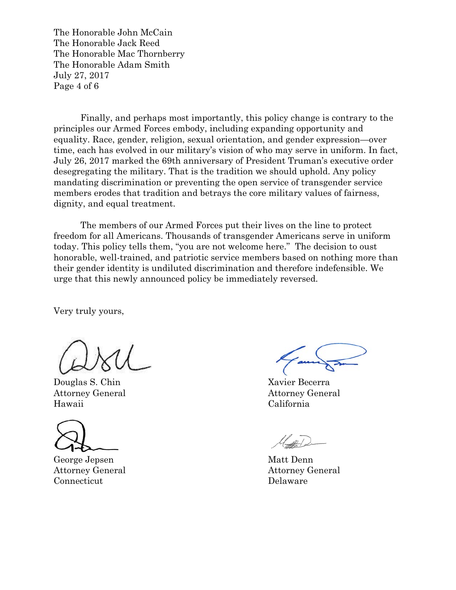The Honorable John McCain The Honorable Jack Reed The Honorable Mac Thornberry The Honorable Adam Smith July 27, 2017 Page 4 of 6

Finally, and perhaps most importantly, this policy change is contrary to the principles our Armed Forces embody, including expanding opportunity and equality. Race, gender, religion, sexual orientation, and gender expression—over time, each has evolved in our military's vision of who may serve in uniform. In fact, July 26, 2017 marked the 69th anniversary of President Truman's executive order desegregating the military. That is the tradition we should uphold. Any policy mandating discrimination or preventing the open service of transgender service members erodes that tradition and betrays the core military values of fairness, dignity, and equal treatment.

The members of our Armed Forces put their lives on the line to protect freedom for all Americans. Thousands of transgender Americans serve in uniform today. This policy tells them, "you are not welcome here." The decision to oust honorable, well-trained, and patriotic service members based on nothing more than their gender identity is undiluted discrimination and therefore indefensible. We urge that this newly announced policy be immediately reversed.

Very truly yours,

Douglas S. Chin Xavier Becerra Attorney General Attorney General Hawaii California

George Jepsen Matt Denn Attorney General Attorney General Connecticut Delaware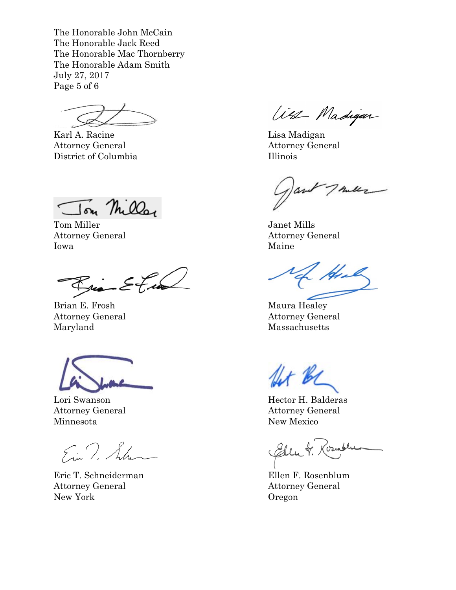The Honorable John McCain The Honorable Jack Reed The Honorable Mac Thornberry The Honorable Adam Smith July 27, 2017 Page 5 of 6

Karl A. Racine Lisa Madigan Attorney General Attorney General District of Columbia Illinois

Ton Miller

Tom Miller Janet Mills Attorney General Attorney General Iowa Maine

 $\mathcal{E}$ tas Bria

Brian E. Frosh Maura Healey Maryland Massachusetts

Minnesota New Mexico

Ein T. Shan

Eric T. Schneiderman Ellen F. Rosenblum Attorney General Attorney General New York Cregon

West Madigan

Thully avo

He

Attorney General Attorney General

flet BC

Lori Swanson Hector H. Balderas Attorney General Attorney General

Chen &. Kormbler